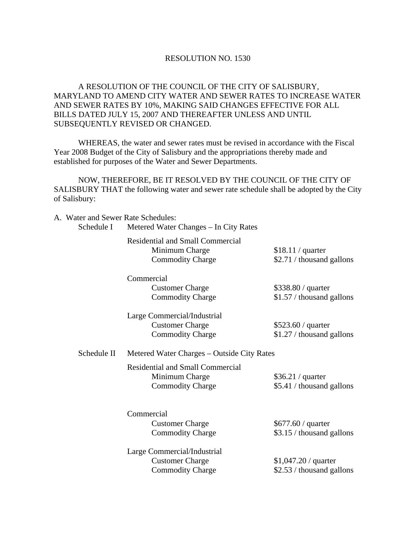## RESOLUTION NO. 1530

## A RESOLUTION OF THE COUNCIL OF THE CITY OF SALISBURY, MARYLAND TO AMEND CITY WATER AND SEWER RATES TO INCREASE WATER AND SEWER RATES BY 10%, MAKING SAID CHANGES EFFECTIVE FOR ALL BILLS DATED JULY 15, 2007 AND THEREAFTER UNLESS AND UNTIL SUBSEQUENTLY REVISED OR CHANGED.

 WHEREAS, the water and sewer rates must be revised in accordance with the Fiscal Year 2008 Budget of the City of Salisbury and the appropriations thereby made and established for purposes of the Water and Sewer Departments.

 NOW, THEREFORE, BE IT RESOLVED BY THE COUNCIL OF THE CITY OF SALISBURY THAT the following water and sewer rate schedule shall be adopted by the City of Salisbury:

| A. Water and Sewer Rate Schedules:<br>Schedule I | Metered Water Changes - In City Rates                                                |                                                    |  |
|--------------------------------------------------|--------------------------------------------------------------------------------------|----------------------------------------------------|--|
|                                                  | <b>Residential and Small Commercial</b><br>Minimum Charge<br><b>Commodity Charge</b> | \$18.11 / quarter<br>\$2.71 / thousand gallons     |  |
|                                                  | Commercial<br><b>Customer Charge</b><br><b>Commodity Charge</b>                      | \$338.80 / quarter<br>\$1.57 / thousand gallons    |  |
|                                                  | Large Commercial/Industrial<br><b>Customer Charge</b><br><b>Commodity Charge</b>     | $$523.60 /$ quarter<br>\$1.27 / thousand gallons   |  |
| Schedule II                                      | Metered Water Charges - Outside City Rates                                           |                                                    |  |
|                                                  | <b>Residential and Small Commercial</b><br>Minimum Charge<br><b>Commodity Charge</b> | \$36.21 / quarter<br>\$5.41 / thousand gallons     |  |
|                                                  | Commercial<br><b>Customer Charge</b><br><b>Commodity Charge</b>                      | \$677.60 / quarter<br>\$3.15 / thousand gallons    |  |
|                                                  | Large Commercial/Industrial<br><b>Customer Charge</b><br><b>Commodity Charge</b>     | $$1,047.20 /$ quarter<br>\$2.53 / thousand gallons |  |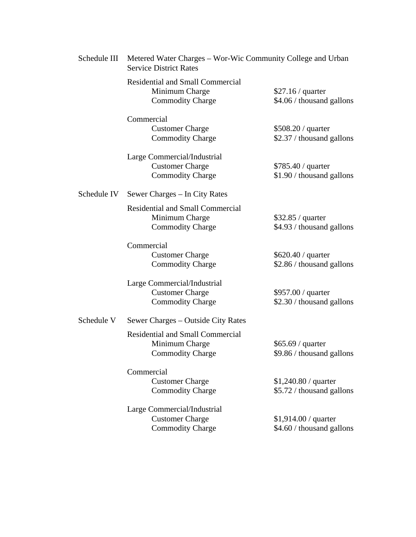| Schedule III | Metered Water Charges – Wor-Wic Community College and Urban                          |                                                    |
|--------------|--------------------------------------------------------------------------------------|----------------------------------------------------|
|              | <b>Residential and Small Commercial</b><br>Minimum Charge<br><b>Commodity Charge</b> | \$27.16 / quarter<br>\$4.06 / thousand gallons     |
|              | Commercial<br><b>Customer Charge</b><br><b>Commodity Charge</b>                      | \$508.20 / quarter<br>\$2.37 / thousand gallons    |
|              | Large Commercial/Industrial<br><b>Customer Charge</b><br><b>Commodity Charge</b>     | \$785.40 / quarter<br>\$1.90 / thousand gallons    |
| Schedule IV  | Sewer Charges – In City Rates                                                        |                                                    |
|              | <b>Residential and Small Commercial</b><br>Minimum Charge<br><b>Commodity Charge</b> | $$32.85 /$ quarter<br>\$4.93 / thousand gallons    |
|              | Commercial<br><b>Customer Charge</b><br><b>Commodity Charge</b>                      | \$620.40 / quarter<br>\$2.86 / thousand gallons    |
|              | Large Commercial/Industrial<br><b>Customer Charge</b><br><b>Commodity Charge</b>     | \$957.00 / quarter<br>\$2.30 / thousand gallons    |
| Schedule V   | Sewer Charges – Outside City Rates                                                   |                                                    |
|              | <b>Residential and Small Commercial</b><br>Minimum Charge<br><b>Commodity Charge</b> | \$65.69 / quarter<br>\$9.86 / thousand gallons     |
|              | Commercial<br><b>Customer Charge</b><br><b>Commodity Charge</b>                      | $$1,240.80 /$ quarter<br>\$5.72 / thousand gallons |
|              | Large Commercial/Industrial<br><b>Customer Charge</b><br><b>Commodity Charge</b>     | $$1,914.00 /$ quarter<br>\$4.60 / thousand gallons |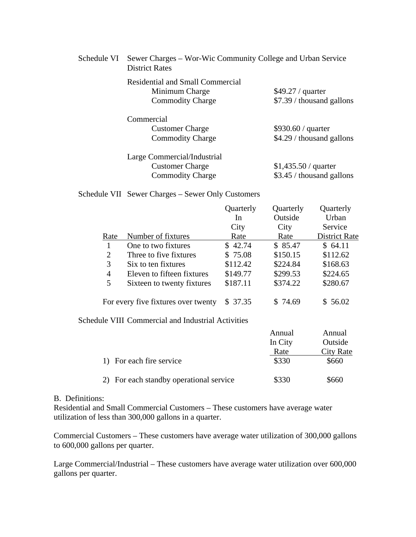| Schedule VI | Sewer Charges – Wor-Wic Community College and Urban Service<br><b>District Rates</b> |                                                 |  |
|-------------|--------------------------------------------------------------------------------------|-------------------------------------------------|--|
|             | <b>Residential and Small Commercial</b><br>Minimum Charge<br><b>Commodity Charge</b> | $$49.27 /$ quarter<br>\$7.39 / thousand gallons |  |
|             | Commercial                                                                           |                                                 |  |
|             | <b>Customer Charge</b>                                                               | \$930.60 / quarter                              |  |
|             | <b>Commodity Charge</b>                                                              | \$4.29 / thousand gallons                       |  |
|             | Large Commercial/Industrial                                                          |                                                 |  |
|             | <b>Customer Charge</b>                                                               | \$1,435.50 / quarter                            |  |
|             | <b>Commodity Charge</b>                                                              | \$3.45 / thousand gallons                       |  |

Schedule VII Sewer Charges – Sewer Only Customers

|      |                                     | Quarterly | Quarterly | Quarterly            |
|------|-------------------------------------|-----------|-----------|----------------------|
|      |                                     | In        | Outside   | Urban                |
|      |                                     | City      | City      | Service              |
| Rate | Number of fixtures                  | Rate      | Rate      | <b>District Rate</b> |
|      | One to two fixtures                 | \$42.74   | \$85.47   | \$64.11              |
| 2    | Three to five fixtures              | \$75.08   | \$150.15  | \$112.62             |
| 3    | Six to ten fixtures                 | \$112.42  | \$224.84  | \$168.63             |
| 4    | Eleven to fifteen fixtures          | \$149.77  | \$299.53  | \$224.65             |
| 5    | Sixteen to twenty fixtures          | \$187.11  | \$374.22  | \$280.67             |
|      | For every five fixtures over twenty | \$37.35   | \$74.69   | \$ 56.02             |

Schedule VIII Commercial and Industrial Activities

|                                         | Annual  | Annual    |
|-----------------------------------------|---------|-----------|
|                                         | In City | Outside   |
|                                         | Rate    | City Rate |
| 1) For each fire service                | \$330   | \$660     |
| 2) For each standby operational service | \$330   | \$660     |

## B. Definitions:

Residential and Small Commercial Customers – These customers have average water utilization of less than 300,000 gallons in a quarter.

Commercial Customers – These customers have average water utilization of 300,000 gallons to 600,000 gallons per quarter.

Large Commercial/Industrial – These customers have average water utilization over 600,000 gallons per quarter.